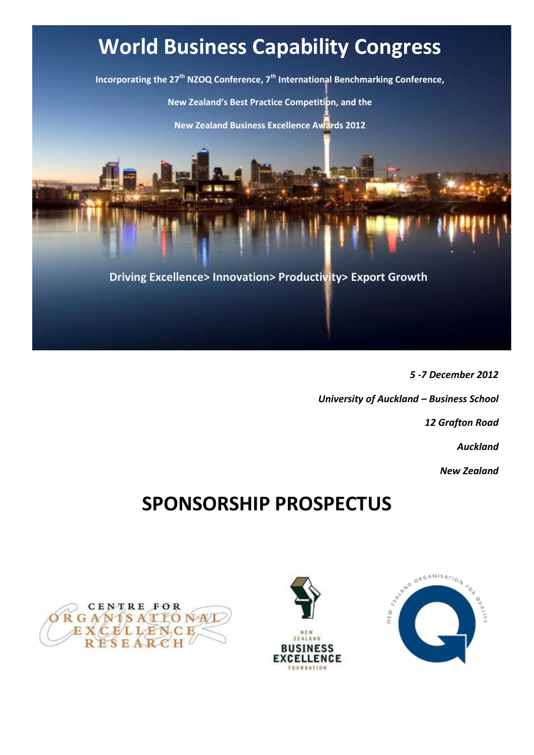## **World Business Capability Congress**

**Incorporating the 27th NZOQ Conference, 7th International Benchmarking Conference, New Zealand's Best Practice Competition, and the New Zealand Business Excellence Awards 2012**

**Driving Excellence> Innovation> Productivity> Export Growth**

*5 -7 December 2012 University of Auckland – Business School 12 Grafton Road Auckland New Zealand*

## **SPONSORSHIP PROSPECTUS**



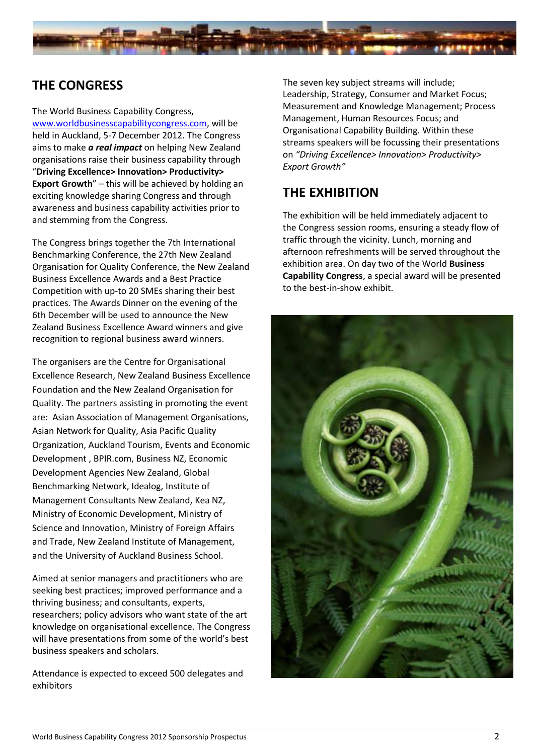

### **THE CONGRESS**

The World Business Capability Congress, [www.worldbusinesscapabilitycongress.com,](http://www.worldbusinesscapabilitycongress.com/) will be held in Auckland, 5-7 December 2012. The Congress aims to make *a real impact* on helping New Zealand organisations raise their business capability through "**Driving Excellence> Innovation> Productivity> Export Growth**" – this will be achieved by holding an exciting knowledge sharing Congress and through awareness and business capability activities prior to and stemming from the Congress.

The Congress brings together the 7th International Benchmarking Conference, the 27th New Zealand Organisation for Quality Conference, the New Zealand Business Excellence Awards and a Best Practice Competition with up-to 20 SMEs sharing their best practices. The Awards Dinner on the evening of the 6th December will be used to announce the New Zealand Business Excellence Award winners and give recognition to regional business award winners.

The organisers are the Centre for Organisational Excellence Research, New Zealand Business Excellence Foundation and the New Zealand Organisation for Quality. The partners assisting in promoting the event are: Asian Association of Management Organisations, Asian Network for Quality, Asia Pacific Quality Organization, Auckland Tourism, Events and Economic Development , BPIR.com, Business NZ, Economic Development Agencies New Zealand, Global Benchmarking Network, Idealog, Institute of Management Consultants New Zealand, Kea NZ, Ministry of Economic Development, Ministry of Science and Innovation, Ministry of Foreign Affairs and Trade, New Zealand Institute of Management, and the University of Auckland Business School.

Aimed at senior managers and practitioners who are seeking best practices; improved performance and a thriving business; and consultants, experts, researchers; policy advisors who want state of the art knowledge on organisational excellence. The Congress will have presentations from some of the world's best business speakers and scholars.

Attendance is expected to exceed 500 delegates and exhibitors

The seven key subject streams will include; Leadership, Strategy, Consumer and Market Focus; Measurement and Knowledge Management; Process Management, Human Resources Focus; and Organisational Capability Building. Within these streams speakers will be focussing their presentations on *"Driving Excellence> Innovation> Productivity> Export Growth"*

### **THE EXHIBITION**

The exhibition will be held immediately adjacent to the Congress session rooms, ensuring a steady flow of traffic through the vicinity. Lunch, morning and afternoon refreshments will be served throughout the exhibition area. On day two of the World **Business Capability Congress**, a special award will be presented to the best-in-show exhibit.

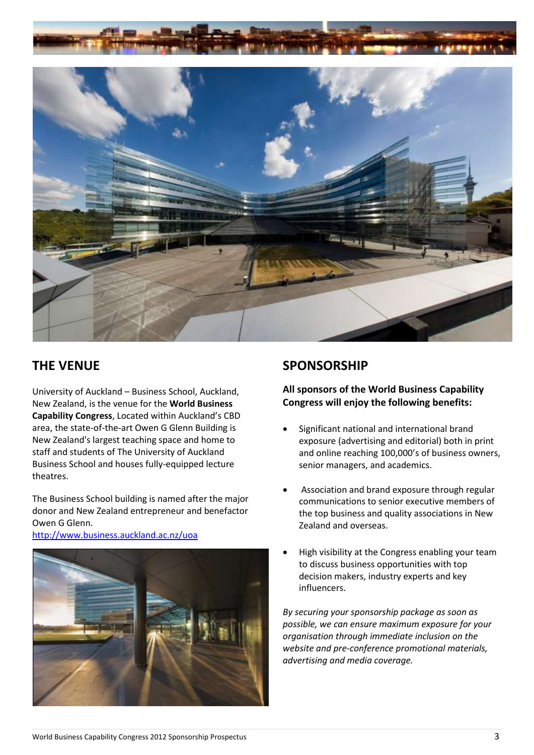



#### **THE VENUE**

University of Auckland – Business School, Auckland, New Zealand, is the venue for the **World Business Capability Congress**, Located within Auckland's CBD area, the state-of-the-art Owen G Glenn Building is New Zealand's largest teaching space and home to staff and students of The University of Auckland Business School and houses fully-equipped lecture theatres.

The Business School building is named after the major donor and New Zealand entrepreneur and benefactor Owen G Glenn.

#### <http://www.business.auckland.ac.nz/uoa>



#### **SPONSORSHIP**

**All sponsors of the World Business Capability Congress will enjoy the following benefits:**

- Significant national and international brand exposure (advertising and editorial) both in print and online reaching 100,000's of business owners, senior managers, and academics.
- Association and brand exposure through regular communications to senior executive members of the top business and quality associations in New Zealand and overseas.
- High visibility at the Congress enabling your team to discuss business opportunities with top decision makers, industry experts and key influencers.

*By securing your sponsorship package as soon as possible, we can ensure maximum exposure for your organisation through immediate inclusion on the website and pre-conference promotional materials, advertising and media coverage.*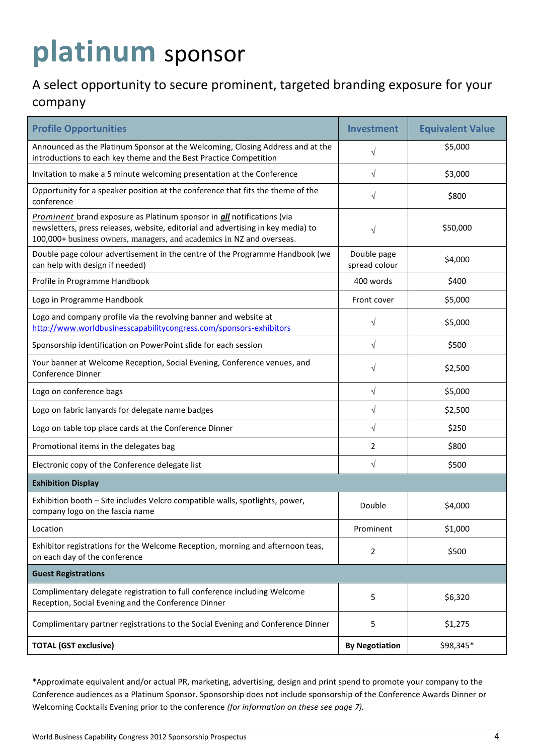# **platinum** sponsor

## A select opportunity to secure prominent, targeted branding exposure for your

#### company

| <b>Profile Opportunities</b>                                                                                                                                                                                                               | Investment                   | <b>Equivalent Value</b> |
|--------------------------------------------------------------------------------------------------------------------------------------------------------------------------------------------------------------------------------------------|------------------------------|-------------------------|
| Announced as the Platinum Sponsor at the Welcoming, Closing Address and at the<br>introductions to each key theme and the Best Practice Competition                                                                                        | V                            | \$5,000                 |
| Invitation to make a 5 minute welcoming presentation at the Conference                                                                                                                                                                     | $\sqrt{}$                    | \$3,000                 |
| Opportunity for a speaker position at the conference that fits the theme of the<br>conference                                                                                                                                              | V                            | \$800                   |
| Prominent brand exposure as Platinum sponsor in <i>all</i> notifications (via<br>newsletters, press releases, website, editorial and advertising in key media) to<br>100,000+ business owners, managers, and academics in NZ and overseas. |                              | \$50,000                |
| Double page colour advertisement in the centre of the Programme Handbook (we<br>can help with design if needed)                                                                                                                            | Double page<br>spread colour | \$4,000                 |
| Profile in Programme Handbook                                                                                                                                                                                                              | 400 words                    | \$400                   |
| Logo in Programme Handbook                                                                                                                                                                                                                 | Front cover                  | \$5,000                 |
| Logo and company profile via the revolving banner and website at<br>http://www.worldbusinesscapabilitycongress.com/sponsors-exhibitors                                                                                                     | $\sqrt{}$                    | \$5,000                 |
| Sponsorship identification on PowerPoint slide for each session                                                                                                                                                                            | $\sqrt{}$                    | \$500                   |
| Your banner at Welcome Reception, Social Evening, Conference venues, and<br>Conference Dinner                                                                                                                                              | $\sqrt{ }$                   | \$2,500                 |
| Logo on conference bags                                                                                                                                                                                                                    | $\sqrt{}$                    | \$5,000                 |
| Logo on fabric lanyards for delegate name badges                                                                                                                                                                                           | $\sqrt{}$                    | \$2,500                 |
| Logo on table top place cards at the Conference Dinner                                                                                                                                                                                     | $\sqrt{ }$                   | \$250                   |
| Promotional items in the delegates bag                                                                                                                                                                                                     | 2                            | \$800                   |
| Electronic copy of the Conference delegate list                                                                                                                                                                                            | $\sqrt{}$                    | \$500                   |
| <b>Exhibition Display</b>                                                                                                                                                                                                                  |                              |                         |
| Exhibition booth - Site includes Velcro compatible walls, spotlights, power,<br>company logo on the fascia name                                                                                                                            | Double                       | \$4,000                 |
| Location                                                                                                                                                                                                                                   | Prominent                    | \$1,000                 |
| Exhibitor registrations for the Welcome Reception, morning and afternoon teas,<br>on each day of the conference                                                                                                                            | 2                            | \$500                   |
| <b>Guest Registrations</b>                                                                                                                                                                                                                 |                              |                         |
| Complimentary delegate registration to full conference including Welcome<br>Reception, Social Evening and the Conference Dinner                                                                                                            | 5                            | \$6,320                 |
| Complimentary partner registrations to the Social Evening and Conference Dinner                                                                                                                                                            | 5                            | \$1,275                 |
| <b>TOTAL (GST exclusive)</b>                                                                                                                                                                                                               | <b>By Negotiation</b>        | \$98,345*               |

\*Approximate equivalent and/or actual PR, marketing, advertising, design and print spend to promote your company to the Conference audiences as a Platinum Sponsor. Sponsorship does not include sponsorship of the Conference Awards Dinner or Welcoming Cocktails Evening prior to the conference *(for information on these see page 7).*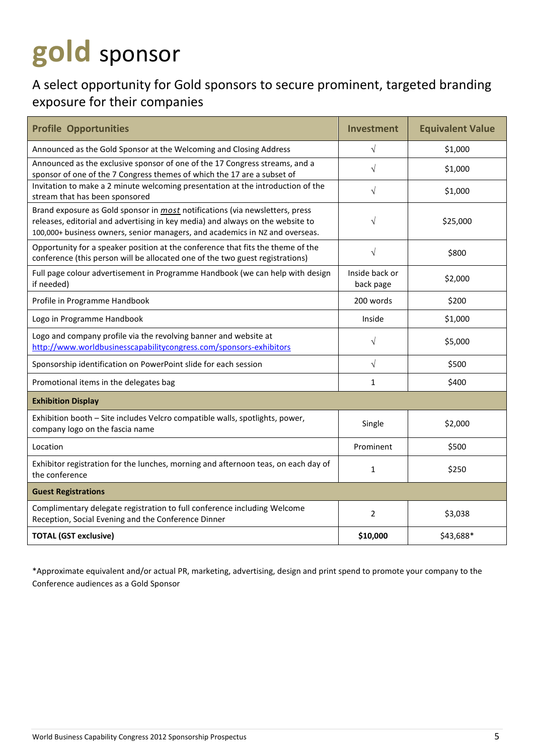# **gold** sponsor

## A select opportunity for Gold sponsors to secure prominent, targeted branding exposure for their companies

| <b>Profile Opportunities</b>                                                                                                                                                                                                                          | <b>Investment</b>           | <b>Equivalent Value</b> |
|-------------------------------------------------------------------------------------------------------------------------------------------------------------------------------------------------------------------------------------------------------|-----------------------------|-------------------------|
| Announced as the Gold Sponsor at the Welcoming and Closing Address                                                                                                                                                                                    | $\sqrt{}$                   | \$1,000                 |
| Announced as the exclusive sponsor of one of the 17 Congress streams, and a<br>sponsor of one of the 7 Congress themes of which the 17 are a subset of                                                                                                | $\sqrt{}$                   | \$1,000                 |
| Invitation to make a 2 minute welcoming presentation at the introduction of the<br>stream that has been sponsored                                                                                                                                     | $\sqrt{}$                   | \$1,000                 |
| Brand exposure as Gold sponsor in <i>most</i> notifications (via newsletters, press<br>releases, editorial and advertising in key media) and always on the website to<br>100,000+ business owners, senior managers, and academics in NZ and overseas. | $\sqrt{}$                   | \$25,000                |
| Opportunity for a speaker position at the conference that fits the theme of the<br>conference (this person will be allocated one of the two guest registrations)                                                                                      | $\sqrt{}$                   | \$800                   |
| Full page colour advertisement in Programme Handbook (we can help with design<br>if needed)                                                                                                                                                           | Inside back or<br>back page | \$2,000                 |
| Profile in Programme Handbook                                                                                                                                                                                                                         | 200 words                   | \$200                   |
| Logo in Programme Handbook                                                                                                                                                                                                                            | Inside                      | \$1,000                 |
| Logo and company profile via the revolving banner and website at<br>http://www.worldbusinesscapabilitycongress.com/sponsors-exhibitors                                                                                                                | V                           | \$5,000                 |
| Sponsorship identification on PowerPoint slide for each session                                                                                                                                                                                       | $\sqrt{}$                   | \$500                   |
| Promotional items in the delegates bag                                                                                                                                                                                                                | 1                           | \$400                   |
| <b>Exhibition Display</b>                                                                                                                                                                                                                             |                             |                         |
| Exhibition booth - Site includes Velcro compatible walls, spotlights, power,<br>company logo on the fascia name                                                                                                                                       | Single                      | \$2,000                 |
| Location                                                                                                                                                                                                                                              | Prominent                   | \$500                   |
| Exhibitor registration for the lunches, morning and afternoon teas, on each day of<br>the conference                                                                                                                                                  | $\mathbf{1}$                | \$250                   |
| <b>Guest Registrations</b>                                                                                                                                                                                                                            |                             |                         |
| Complimentary delegate registration to full conference including Welcome<br>Reception, Social Evening and the Conference Dinner                                                                                                                       | $\overline{2}$              | \$3,038                 |
| <b>TOTAL (GST exclusive)</b>                                                                                                                                                                                                                          | \$10,000                    | \$43,688*               |

\*Approximate equivalent and/or actual PR, marketing, advertising, design and print spend to promote your company to the Conference audiences as a Gold Sponsor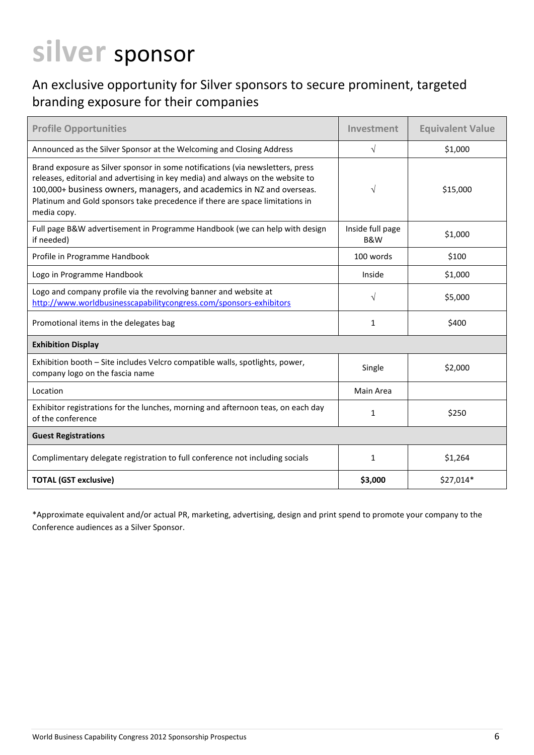# **silver** sponsor

### An exclusive opportunity for Silver sponsors to secure prominent, targeted branding exposure for their companies

| <b>Profile Opportunities</b>                                                                                                                                                                                                                                                                                                             | Investment                         | <b>Equivalent Value</b> |  |  |
|------------------------------------------------------------------------------------------------------------------------------------------------------------------------------------------------------------------------------------------------------------------------------------------------------------------------------------------|------------------------------------|-------------------------|--|--|
| Announced as the Silver Sponsor at the Welcoming and Closing Address                                                                                                                                                                                                                                                                     | $\sqrt{}$                          | \$1,000                 |  |  |
| Brand exposure as Silver sponsor in some notifications (via newsletters, press<br>releases, editorial and advertising in key media) and always on the website to<br>100,000+ business owners, managers, and academics in NZ and overseas.<br>Platinum and Gold sponsors take precedence if there are space limitations in<br>media copy. | V                                  | \$15,000                |  |  |
| Full page B&W advertisement in Programme Handbook (we can help with design<br>if needed)                                                                                                                                                                                                                                                 | Inside full page<br><b>B&amp;W</b> | \$1,000                 |  |  |
| Profile in Programme Handbook                                                                                                                                                                                                                                                                                                            | 100 words                          | \$100                   |  |  |
| Logo in Programme Handbook                                                                                                                                                                                                                                                                                                               | Inside                             | \$1,000                 |  |  |
| Logo and company profile via the revolving banner and website at<br>http://www.worldbusinesscapabilitycongress.com/sponsors-exhibitors                                                                                                                                                                                                   | $\sqrt{ }$                         | \$5,000                 |  |  |
| Promotional items in the delegates bag                                                                                                                                                                                                                                                                                                   | 1                                  | \$400                   |  |  |
| <b>Exhibition Display</b>                                                                                                                                                                                                                                                                                                                |                                    |                         |  |  |
| Exhibition booth - Site includes Velcro compatible walls, spotlights, power,<br>company logo on the fascia name                                                                                                                                                                                                                          | Single                             | \$2,000                 |  |  |
| Location                                                                                                                                                                                                                                                                                                                                 | Main Area                          |                         |  |  |
| Exhibitor registrations for the lunches, morning and afternoon teas, on each day<br>of the conference                                                                                                                                                                                                                                    | $\mathbf{1}$                       | \$250                   |  |  |
| <b>Guest Registrations</b>                                                                                                                                                                                                                                                                                                               |                                    |                         |  |  |
| Complimentary delegate registration to full conference not including socials                                                                                                                                                                                                                                                             | $\mathbf{1}$                       | \$1,264                 |  |  |
| <b>TOTAL (GST exclusive)</b>                                                                                                                                                                                                                                                                                                             | \$3,000                            | \$27,014*               |  |  |

\*Approximate equivalent and/or actual PR, marketing, advertising, design and print spend to promote your company to the Conference audiences as a Silver Sponsor.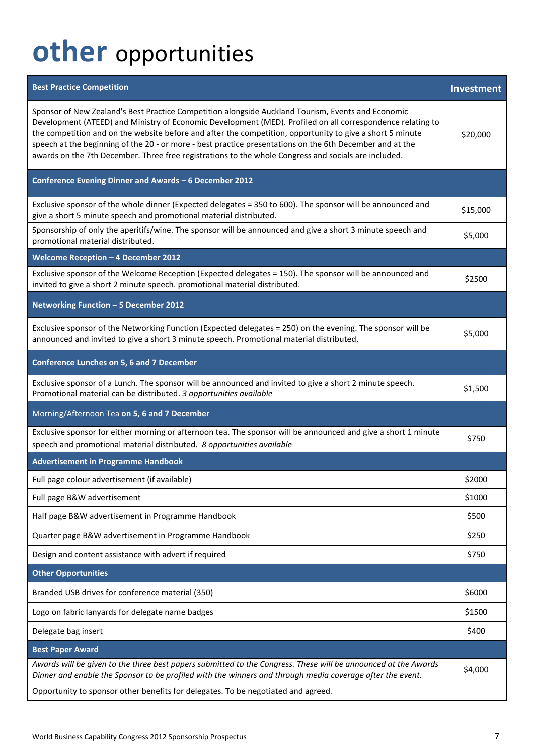# **other** opportunities

| <b>Best Practice Competition</b>                                                                                                                                                                                                                                                                                                                                                                                                                                                                                                                  | Investment |  |  |  |
|---------------------------------------------------------------------------------------------------------------------------------------------------------------------------------------------------------------------------------------------------------------------------------------------------------------------------------------------------------------------------------------------------------------------------------------------------------------------------------------------------------------------------------------------------|------------|--|--|--|
| Sponsor of New Zealand's Best Practice Competition alongside Auckland Tourism, Events and Economic<br>Development (ATEED) and Ministry of Economic Development (MED). Profiled on all correspondence relating to<br>the competition and on the website before and after the competition, opportunity to give a short 5 minute<br>speech at the beginning of the 20 - or more - best practice presentations on the 6th December and at the<br>awards on the 7th December. Three free registrations to the whole Congress and socials are included. | \$20,000   |  |  |  |
| Conference Evening Dinner and Awards - 6 December 2012                                                                                                                                                                                                                                                                                                                                                                                                                                                                                            |            |  |  |  |
| Exclusive sponsor of the whole dinner (Expected delegates = 350 to 600). The sponsor will be announced and<br>give a short 5 minute speech and promotional material distributed.                                                                                                                                                                                                                                                                                                                                                                  | \$15,000   |  |  |  |
| Sponsorship of only the aperitifs/wine. The sponsor will be announced and give a short 3 minute speech and<br>promotional material distributed.                                                                                                                                                                                                                                                                                                                                                                                                   | \$5,000    |  |  |  |
| Welcome Reception - 4 December 2012                                                                                                                                                                                                                                                                                                                                                                                                                                                                                                               |            |  |  |  |
| Exclusive sponsor of the Welcome Reception (Expected delegates = 150). The sponsor will be announced and<br>invited to give a short 2 minute speech. promotional material distributed.                                                                                                                                                                                                                                                                                                                                                            | \$2500     |  |  |  |
| Networking Function - 5 December 2012                                                                                                                                                                                                                                                                                                                                                                                                                                                                                                             |            |  |  |  |
| Exclusive sponsor of the Networking Function (Expected delegates = 250) on the evening. The sponsor will be<br>announced and invited to give a short 3 minute speech. Promotional material distributed.                                                                                                                                                                                                                                                                                                                                           | \$5,000    |  |  |  |
| <b>Conference Lunches on 5, 6 and 7 December</b>                                                                                                                                                                                                                                                                                                                                                                                                                                                                                                  |            |  |  |  |
| Exclusive sponsor of a Lunch. The sponsor will be announced and invited to give a short 2 minute speech.<br>Promotional material can be distributed. 3 opportunities available                                                                                                                                                                                                                                                                                                                                                                    | \$1,500    |  |  |  |
| Morning/Afternoon Tea on 5, 6 and 7 December                                                                                                                                                                                                                                                                                                                                                                                                                                                                                                      |            |  |  |  |
| Exclusive sponsor for either morning or afternoon tea. The sponsor will be announced and give a short 1 minute<br>speech and promotional material distributed. 8 opportunities available                                                                                                                                                                                                                                                                                                                                                          | \$750      |  |  |  |
| <b>Advertisement in Programme Handbook</b>                                                                                                                                                                                                                                                                                                                                                                                                                                                                                                        |            |  |  |  |
| Full page colour advertisement (if available)                                                                                                                                                                                                                                                                                                                                                                                                                                                                                                     | \$2000     |  |  |  |
| Full page B&W advertisement                                                                                                                                                                                                                                                                                                                                                                                                                                                                                                                       | \$1000     |  |  |  |
| Half page B&W advertisement in Programme Handbook                                                                                                                                                                                                                                                                                                                                                                                                                                                                                                 | \$500      |  |  |  |
| Quarter page B&W advertisement in Programme Handbook                                                                                                                                                                                                                                                                                                                                                                                                                                                                                              | \$250      |  |  |  |
| Design and content assistance with advert if required                                                                                                                                                                                                                                                                                                                                                                                                                                                                                             | \$750      |  |  |  |
| <b>Other Opportunities</b>                                                                                                                                                                                                                                                                                                                                                                                                                                                                                                                        |            |  |  |  |
| Branded USB drives for conference material (350)                                                                                                                                                                                                                                                                                                                                                                                                                                                                                                  | \$6000     |  |  |  |
| Logo on fabric lanyards for delegate name badges                                                                                                                                                                                                                                                                                                                                                                                                                                                                                                  | \$1500     |  |  |  |
| Delegate bag insert                                                                                                                                                                                                                                                                                                                                                                                                                                                                                                                               | \$400      |  |  |  |
| <b>Best Paper Award</b>                                                                                                                                                                                                                                                                                                                                                                                                                                                                                                                           |            |  |  |  |
| Awards will be given to the three best papers submitted to the Congress. These will be announced at the Awards<br>Dinner and enable the Sponsor to be profiled with the winners and through media coverage after the event.                                                                                                                                                                                                                                                                                                                       | \$4,000    |  |  |  |
| Opportunity to sponsor other benefits for delegates. To be negotiated and agreed.                                                                                                                                                                                                                                                                                                                                                                                                                                                                 |            |  |  |  |